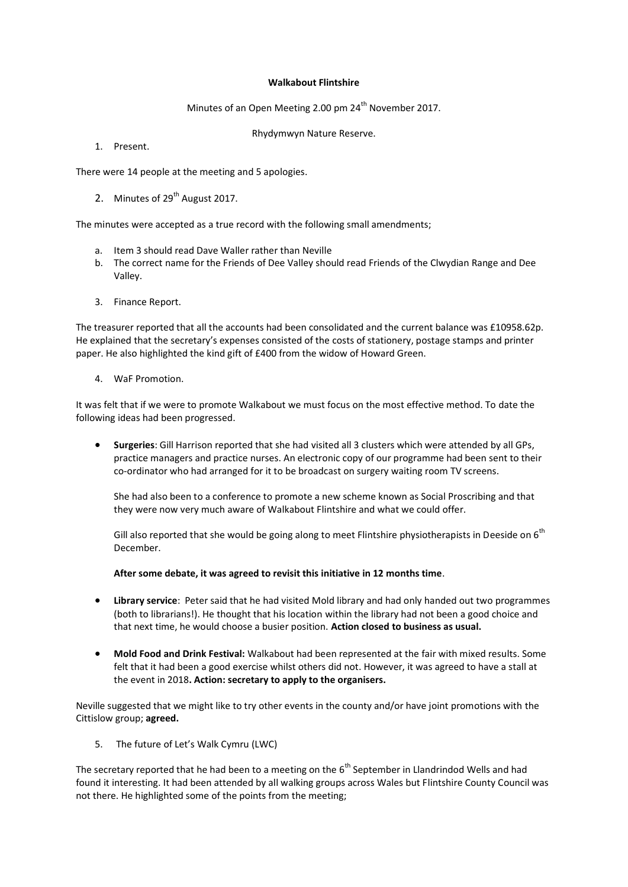## **Walkabout Flintshire**

Minutes of an Open Meeting 2.00 pm 24<sup>th</sup> November 2017.

Rhydymwyn Nature Reserve.

1. Present.

There were 14 people at the meeting and 5 apologies.

2. Minutes of  $29<sup>th</sup>$  August 2017.

The minutes were accepted as a true record with the following small amendments;

- a. Item 3 should read Dave Waller rather than Neville
- b. The correct name for the Friends of Dee Valley should read Friends of the Clwydian Range and Dee Valley.
- 3. Finance Report.

The treasurer reported that all the accounts had been consolidated and the current balance was £10958.62p. He explained that the secretary's expenses consisted of the costs of stationery, postage stamps and printer paper. He also highlighted the kind gift of £400 from the widow of Howard Green.

4. WaF Promotion.

It was felt that if we were to promote Walkabout we must focus on the most effective method. To date the following ideas had been progressed.

 **Surgeries**: Gill Harrison reported that she had visited all 3 clusters which were attended by all GPs, practice managers and practice nurses. An electronic copy of our programme had been sent to their co-ordinator who had arranged for it to be broadcast on surgery waiting room TV screens.

She had also been to a conference to promote a new scheme known as Social Proscribing and that they were now very much aware of Walkabout Flintshire and what we could offer.

Gill also reported that she would be going along to meet Flintshire physiotherapists in Deeside on 6<sup>th</sup> December.

**After some debate, it was agreed to revisit this initiative in 12 months time**.

- **Library service**: Peter said that he had visited Mold library and had only handed out two programmes (both to librarians!). He thought that his location within the library had not been a good choice and that next time, he would choose a busier position. **Action closed to business as usual.**
- **Mold Food and Drink Festival:** Walkabout had been represented at the fair with mixed results. Some felt that it had been a good exercise whilst others did not. However, it was agreed to have a stall at the event in 2018**. Action: secretary to apply to the organisers.**

Neville suggested that we might like to try other events in the county and/or have joint promotions with the Cittislow group; **agreed.**

5. The future of Let's Walk Cymru (LWC)

The secretary reported that he had been to a meeting on the 6<sup>th</sup> September in Llandrindod Wells and had found it interesting. It had been attended by all walking groups across Wales but Flintshire County Council was not there. He highlighted some of the points from the meeting;